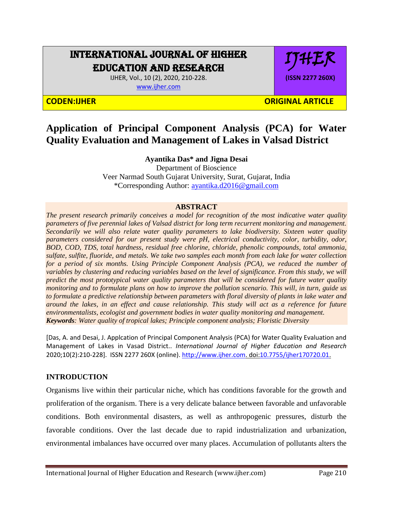# INTERNATIONAL JOURNAL OF HIGHER EDUCATION AND RESEARCH

IJHER, Vol., 10 (2), 2020, 210-228. [www.ijher.com](http://www.ijher.com/)



### **CODEN:IJHER ORIGINAL ARTICLE**

# **Application of Principal Component Analysis (PCA) for Water Quality Evaluation and Management of Lakes in Valsad District**

### **Ayantika Das\* and Jigna Desai**

Department of Bioscience Veer Narmad South Gujarat University, Surat, Gujarat, India \*Corresponding Author: [ayantika.d2016@gmail.com](mailto:ayantika.d2016@gmail.com)

#### **ABSTRACT**

*The present research primarily conceives a model for recognition of the most indicative water quality parameters of five perennial lakes of Valsad district for long term recurrent monitoring and management. Secondarily we will also relate water quality parameters to lake biodiversity. Sixteen water quality parameters considered for our present study were pH, electrical conductivity, color, turbidity, odor, BOD, COD, TDS, total hardness, residual free chlorine, chloride, phenolic compounds, total ammonia, sulfate, sulfite, fluoride, and metals. We take two samples each month from each lake for water collection for a period of six months. Using Principle Component Analysis (PCA), we reduced the number of variables by clustering and reducing variables based on the level of significance. From this study, we will predict the most prototypical water quality parameters that will be considered for future water quality monitoring and to formulate plans on how to improve the pollution scenario. This will, in turn, guide us to formulate a predictive relationship between parameters with floral diversity of plants in lake water and around the lakes, in an effect and cause relationship. This study will act as a reference for future environmentalists, ecologist and government bodies in water quality monitoring and management. Keywords: Water quality of tropical lakes; Principle component analysis; Floristic Diversity*

[Das, A. and Desai, J. Applcation of Principal Component Analysis (PCA) for Water Quality Evaluation and Management of Lakes in Vasad District.. *International Journal of Higher Education and Research*  2020;10(2):210-228]. ISSN 2277 260X (online)[. http://www.ijher.com.](http://www.ijher.com/) doi[:10.7755/ijher170720.01.](http://www.dx.doi.org/10.7537/marslsj170720.01)

## **INTRODUCTION**

Organisms live within their particular niche, which has conditions favorable for the growth and proliferation of the organism. There is a very delicate balance between favorable and unfavorable conditions. Both environmental disasters, as well as anthropogenic pressures, disturb the favorable conditions. Over the last decade due to rapid industrialization and urbanization, environmental imbalances have occurred over many places. Accumulation of pollutants alters the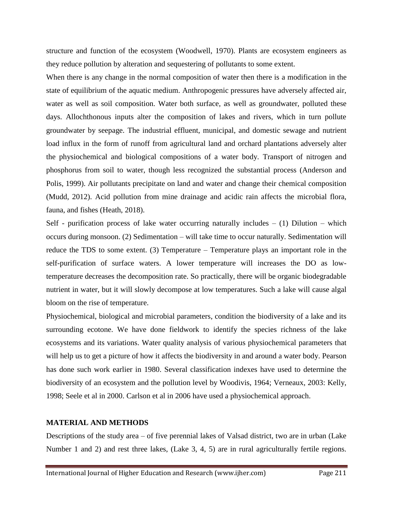structure and function of the ecosystem (Woodwell, 1970). Plants are ecosystem engineers as they reduce pollution by alteration and sequestering of pollutants to some extent.

When there is any change in the normal composition of water then there is a modification in the state of equilibrium of the aquatic medium. Anthropogenic pressures have adversely affected air, water as well as soil composition. Water both surface, as well as groundwater, polluted these days. Allochthonous inputs alter the composition of lakes and rivers, which in turn pollute groundwater by seepage. The industrial effluent, municipal, and domestic sewage and nutrient load influx in the form of runoff from agricultural land and orchard plantations adversely alter the physiochemical and biological compositions of a water body. Transport of nitrogen and phosphorus from soil to water, though less recognized the substantial process (Anderson and Polis, 1999). Air pollutants precipitate on land and water and change their chemical composition (Mudd, 2012). Acid pollution from mine drainage and acidic rain affects the microbial flora, fauna, and fishes (Heath, 2018).

Self - purification process of lake water occurring naturally includes  $- (1)$  Dilution – which occurs during monsoon. (2) Sedimentation – will take time to occur naturally. Sedimentation will reduce the TDS to some extent. (3) Temperature – Temperature plays an important role in the self-purification of surface waters. A lower temperature will increases the DO as lowtemperature decreases the decomposition rate. So practically, there will be organic biodegradable nutrient in water, but it will slowly decompose at low temperatures. Such a lake will cause algal bloom on the rise of temperature.

Physiochemical, biological and microbial parameters, condition the biodiversity of a lake and its surrounding ecotone. We have done fieldwork to identify the species richness of the lake ecosystems and its variations. Water quality analysis of various physiochemical parameters that will help us to get a picture of how it affects the biodiversity in and around a water body. Pearson has done such work earlier in 1980. Several classification indexes have used to determine the biodiversity of an ecosystem and the pollution level by Woodivis, 1964; Verneaux, 2003: Kelly, 1998; Seele et al in 2000. Carlson et al in 2006 have used a physiochemical approach.

#### **MATERIAL AND METHODS**

Descriptions of the study area – of five perennial lakes of Valsad district, two are in urban (Lake Number 1 and 2) and rest three lakes, (Lake 3, 4, 5) are in rural agriculturally fertile regions.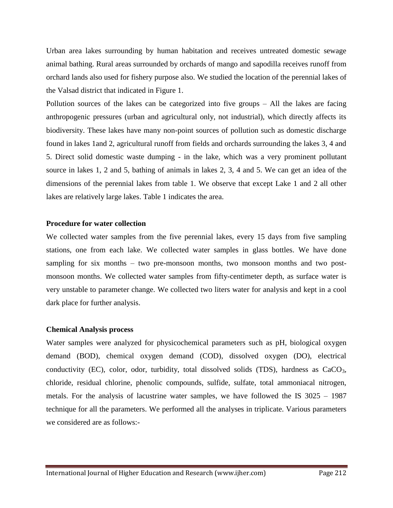Urban area lakes surrounding by human habitation and receives untreated domestic sewage animal bathing. Rural areas surrounded by orchards of mango and sapodilla receives runoff from orchard lands also used for fishery purpose also. We studied the location of the perennial lakes of the Valsad district that indicated in Figure 1.

Pollution sources of the lakes can be categorized into five groups – All the lakes are facing anthropogenic pressures (urban and agricultural only, not industrial), which directly affects its biodiversity. These lakes have many non-point sources of pollution such as domestic discharge found in lakes 1and 2, agricultural runoff from fields and orchards surrounding the lakes 3, 4 and 5. Direct solid domestic waste dumping - in the lake, which was a very prominent pollutant source in lakes 1, 2 and 5, bathing of animals in lakes 2, 3, 4 and 5. We can get an idea of the dimensions of the perennial lakes from table 1. We observe that except Lake 1 and 2 all other lakes are relatively large lakes. Table 1 indicates the area.

#### **Procedure for water collection**

We collected water samples from the five perennial lakes, every 15 days from five sampling stations, one from each lake. We collected water samples in glass bottles. We have done sampling for six months – two pre-monsoon months, two monsoon months and two postmonsoon months. We collected water samples from fifty-centimeter depth, as surface water is very unstable to parameter change. We collected two liters water for analysis and kept in a cool dark place for further analysis.

#### **Chemical Analysis process**

Water samples were analyzed for physicochemical parameters such as pH, biological oxygen demand (BOD), chemical oxygen demand (COD), dissolved oxygen (DO), electrical conductivity (EC), color, odor, turbidity, total dissolved solids (TDS), hardness as  $CaCO<sub>3</sub>$ , chloride, residual chlorine, phenolic compounds, sulfide, sulfate, total ammoniacal nitrogen, metals. For the analysis of lacustrine water samples, we have followed the IS 3025 – 1987 technique for all the parameters. We performed all the analyses in triplicate. Various parameters we considered are as follows:-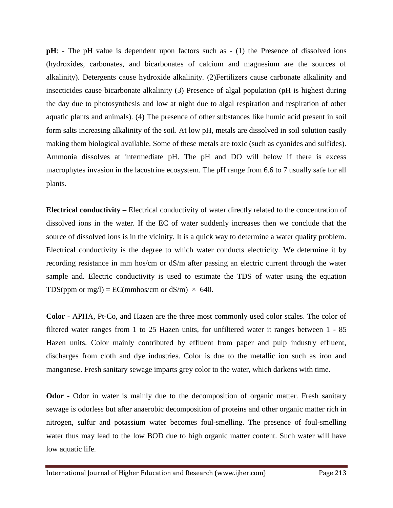**pH**: - The pH value is dependent upon factors such as  $- (1)$  the Presence of dissolved ions (hydroxides, carbonates, and bicarbonates of calcium and magnesium are the sources of alkalinity). Detergents cause hydroxide alkalinity. (2)Fertilizers cause carbonate alkalinity and insecticides cause bicarbonate alkalinity (3) Presence of algal population (pH is highest during the day due to photosynthesis and low at night due to algal respiration and respiration of other aquatic plants and animals). (4) The presence of other substances like humic acid present in soil form salts increasing alkalinity of the soil. At low pH, metals are dissolved in soil solution easily making them biological available. Some of these metals are toxic (such as cyanides and sulfides). Ammonia dissolves at intermediate pH. The pH and DO will below if there is excess macrophytes invasion in the lacustrine ecosystem. The pH range from 6.6 to 7 usually safe for all plants.

**Electrical conductivity –** Electrical conductivity of water directly related to the concentration of dissolved ions in the water. If the EC of water suddenly increases then we conclude that the source of dissolved ions is in the vicinity. It is a quick way to determine a water quality problem. Electrical conductivity is the degree to which water conducts electricity. We determine it by recording resistance in mm hos/cm or dS/m after passing an electric current through the water sample and. Electric conductivity is used to estimate the TDS of water using the equation TDS(ppm or mg/l) = EC(mmhos/cm or dS/m)  $\times$  640.

**Color -** APHA, Pt-Co, and Hazen are the three most commonly used color scales. The color of filtered water ranges from 1 to 25 Hazen units, for unfiltered water it ranges between 1 - 85 Hazen units. Color mainly contributed by effluent from paper and pulp industry effluent, discharges from cloth and dye industries. Color is due to the metallic ion such as iron and manganese. Fresh sanitary sewage imparts grey color to the water, which darkens with time.

**Odor -** Odor in water is mainly due to the decomposition of organic matter. Fresh sanitary sewage is odorless but after anaerobic decomposition of proteins and other organic matter rich in nitrogen, sulfur and potassium water becomes foul-smelling. The presence of foul-smelling water thus may lead to the low BOD due to high organic matter content. Such water will have low aquatic life.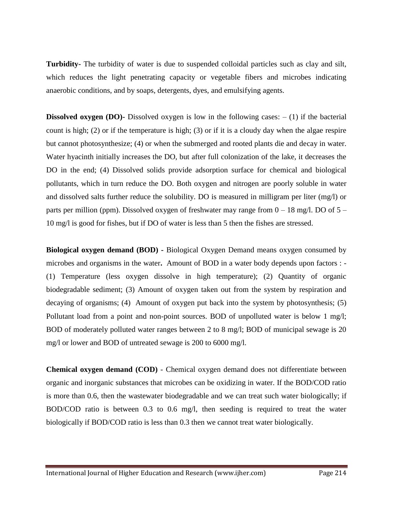**Turbidity-** The turbidity of water is due to suspended colloidal particles such as clay and silt, which reduces the light penetrating capacity or vegetable fibers and microbes indicating anaerobic conditions, and by soaps, detergents, dyes, and emulsifying agents.

**Dissolved oxygen (DO)-** Dissolved oxygen is low in the following cases:  $- (1)$  if the bacterial count is high; (2) or if the temperature is high; (3) or if it is a cloudy day when the algae respire but cannot photosynthesize; (4) or when the submerged and rooted plants die and decay in water. Water hyacinth initially increases the DO, but after full colonization of the lake, it decreases the DO in the end; (4) Dissolved solids provide adsorption surface for chemical and biological pollutants, which in turn reduce the DO. Both oxygen and nitrogen are poorly soluble in water and dissolved salts further reduce the solubility. DO is measured in milligram per liter (mg/l) or parts per million (ppm). Dissolved oxygen of freshwater may range from  $0 - 18$  mg/l. DO of  $5 -$ 10 mg/l is good for fishes, but if DO of water is less than 5 then the fishes are stressed.

**Biological oxygen demand (BOD) -** Biological Oxygen Demand means oxygen consumed by microbes and organisms in the water**.** Amount of BOD in a water body depends upon factors : - (1) Temperature (less oxygen dissolve in high temperature); (2) Quantity of organic biodegradable sediment; (3) Amount of oxygen taken out from the system by respiration and decaying of organisms; (4) Amount of oxygen put back into the system by photosynthesis; (5) Pollutant load from a point and non-point sources. BOD of unpolluted water is below 1 mg/l; BOD of moderately polluted water ranges between 2 to 8 mg/l; BOD of municipal sewage is 20 mg/l or lower and BOD of untreated sewage is 200 to 6000 mg/l.

**Chemical oxygen demand (COD)** - Chemical oxygen demand does not differentiate between organic and inorganic substances that microbes can be oxidizing in water. If the BOD/COD ratio is more than 0.6, then the wastewater biodegradable and we can treat such water biologically; if BOD/COD ratio is between 0.3 to 0.6 mg/l, then seeding is required to treat the water biologically if BOD/COD ratio is less than 0.3 then we cannot treat water biologically.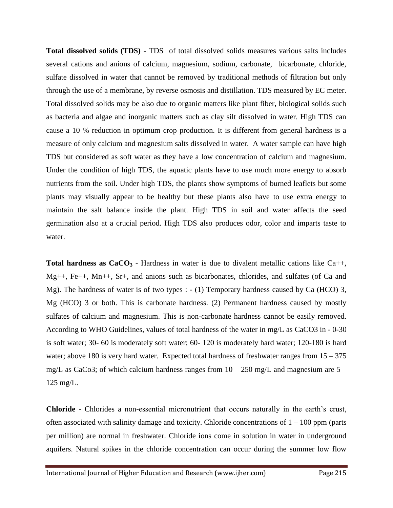**Total dissolved solids (TDS)** - TDS of total dissolved solids measures various salts includes several cations and anions of calcium, magnesium, sodium, carbonate, bicarbonate, chloride, sulfate dissolved in water that cannot be removed by traditional methods of filtration but only through the use of a membrane, by reverse osmosis and distillation. TDS measured by EC meter. Total dissolved solids may be also due to organic matters like plant fiber, biological solids such as bacteria and algae and inorganic matters such as clay silt dissolved in water. High TDS can cause a 10 % reduction in optimum crop production. It is different from general hardness is a measure of only calcium and magnesium salts dissolved in water. A water sample can have high TDS but considered as soft water as they have a low concentration of calcium and magnesium. Under the condition of high TDS, the aquatic plants have to use much more energy to absorb nutrients from the soil. Under high TDS, the plants show symptoms of burned leaflets but some plants may visually appear to be healthy but these plants also have to use extra energy to maintain the salt balance inside the plant. High TDS in soil and water affects the seed germination also at a crucial period. High TDS also produces odor, color and imparts taste to water.

**Total hardness as**  $CaCO<sub>3</sub>$  **- Hardness in water is due to divalent metallic cations like Ca++,** Mg++, Fe++, Mn++, Sr+, and anions such as bicarbonates, chlorides, and sulfates (of Ca and Mg). The hardness of water is of two types : - (1) Temporary hardness caused by Ca (HCO) 3, Mg (HCO) 3 or both. This is carbonate hardness. (2) Permanent hardness caused by mostly sulfates of calcium and magnesium. This is non-carbonate hardness cannot be easily removed. According to WHO Guidelines, values of total hardness of the water in mg/L as CaCO3 in - 0-30 is soft water; 30- 60 is moderately soft water; 60- 120 is moderately hard water; 120-180 is hard water; above 180 is very hard water. Expected total hardness of freshwater ranges from  $15 - 375$ mg/L as CaCo3; of which calcium hardness ranges from  $10 - 250$  mg/L and magnesium are  $5 -$ 125 mg/L.

**Chloride** - Chlorides a non-essential micronutrient that occurs naturally in the earth's crust, often associated with salinity damage and toxicity. Chloride concentrations of  $1 - 100$  ppm (parts per million) are normal in freshwater. Chloride ions come in solution in water in underground aquifers. Natural spikes in the chloride concentration can occur during the summer low flow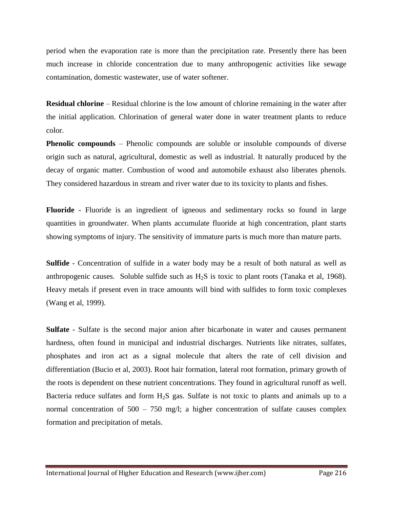period when the evaporation rate is more than the precipitation rate. Presently there has been much increase in chloride concentration due to many anthropogenic activities like sewage contamination, domestic wastewater, use of water softener.

**Residual chlorine** – Residual chlorine is the low amount of chlorine remaining in the water after the initial application. Chlorination of general water done in water treatment plants to reduce color.

**Phenolic compounds** – Phenolic compounds are soluble or insoluble compounds of diverse origin such as natural, agricultural, domestic as well as industrial. It naturally produced by the decay of organic matter. Combustion of wood and automobile exhaust also liberates phenols. They considered hazardous in stream and river water due to its toxicity to plants and fishes.

**Fluoride** - Fluoride is an ingredient of igneous and sedimentary rocks so found in large quantities in groundwater. When plants accumulate fluoride at high concentration, plant starts showing symptoms of injury. The sensitivity of immature parts is much more than mature parts.

**Sulfide** - Concentration of sulfide in a water body may be a result of both natural as well as anthropogenic causes. Soluble sulfide such as  $H_2S$  is toxic to plant roots (Tanaka et al, 1968). Heavy metals if present even in trace amounts will bind with sulfides to form toxic complexes (Wang et al, 1999).

**Sulfate** - Sulfate is the second major anion after bicarbonate in water and causes permanent hardness, often found in municipal and industrial discharges. Nutrients like nitrates, sulfates, phosphates and iron act as a signal molecule that alters the rate of cell division and differentiation (Bucio et al, 2003). Root hair formation, lateral root formation, primary growth of the roots is dependent on these nutrient concentrations. They found in agricultural runoff as well. Bacteria reduce sulfates and form H2S gas. Sulfate is not toxic to plants and animals up to a normal concentration of  $500 - 750$  mg/l; a higher concentration of sulfate causes complex formation and precipitation of metals.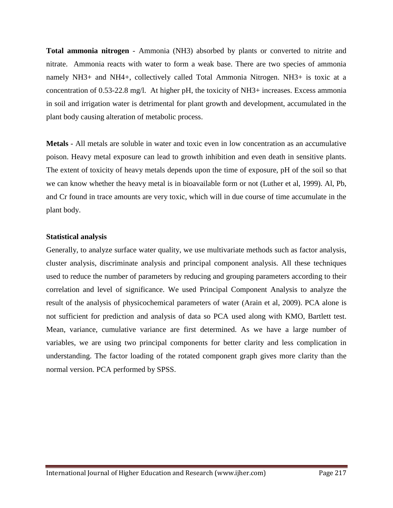**Total ammonia nitrogen** - Ammonia (NH3) absorbed by plants or converted to nitrite and nitrate. Ammonia reacts with water to form a weak base. There are two species of ammonia namely NH3+ and NH4+, collectively called Total Ammonia Nitrogen. NH3+ is toxic at a concentration of 0.53-22.8 mg/l. At higher pH, the toxicity of NH3+ increases. Excess ammonia in soil and irrigation water is detrimental for plant growth and development, accumulated in the plant body causing alteration of metabolic process.

**Metals** - All metals are soluble in water and toxic even in low concentration as an accumulative poison. Heavy metal exposure can lead to growth inhibition and even death in sensitive plants. The extent of toxicity of heavy metals depends upon the time of exposure, pH of the soil so that we can know whether the heavy metal is in bioavailable form or not (Luther et al, 1999). Al, Pb, and Cr found in trace amounts are very toxic, which will in due course of time accumulate in the plant body.

#### **Statistical analysis**

Generally, to analyze surface water quality, we use multivariate methods such as factor analysis, cluster analysis, discriminate analysis and principal component analysis. All these techniques used to reduce the number of parameters by reducing and grouping parameters according to their correlation and level of significance. We used Principal Component Analysis to analyze the result of the analysis of physicochemical parameters of water (Arain et al, 2009). PCA alone is not sufficient for prediction and analysis of data so PCA used along with KMO, Bartlett test. Mean, variance, cumulative variance are first determined. As we have a large number of variables, we are using two principal components for better clarity and less complication in understanding. The factor loading of the rotated component graph gives more clarity than the normal version. PCA performed by SPSS.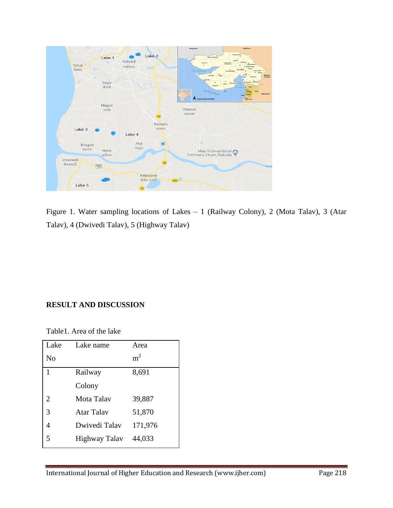

Figure 1. Water sampling locations of Lakes – 1 (Railway Colony), 2 (Mota Talav), 3 (Atar Talav), 4 (Dwivedi Talav), 5 (Highway Talav)

## **RESULT AND DISCUSSION**

Table1. Area of the lake

| Lake           | Lake name     | Area           |
|----------------|---------------|----------------|
| No             |               | m <sup>2</sup> |
| 1              | Railway       | 8,691          |
|                | Colony        |                |
| $\overline{2}$ | Mota Talav    | 39,887         |
| 3              | Atar Talay    | 51,870         |
|                | Dwivedi Talav | 171,976        |
| 5              | Highway Talav | 44,033         |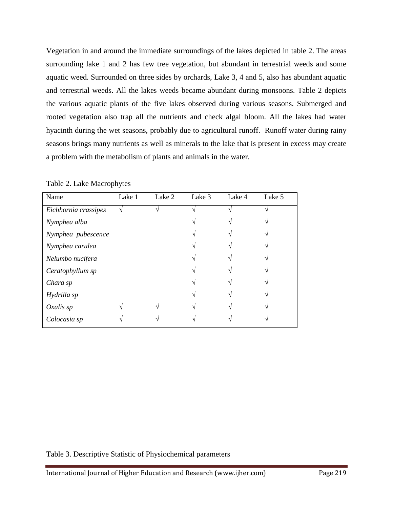Vegetation in and around the immediate surroundings of the lakes depicted in table 2. The areas surrounding lake 1 and 2 has few tree vegetation, but abundant in terrestrial weeds and some aquatic weed. Surrounded on three sides by orchards, Lake 3, 4 and 5, also has abundant aquatic and terrestrial weeds. All the lakes weeds became abundant during monsoons. Table 2 depicts the various aquatic plants of the five lakes observed during various seasons. Submerged and rooted vegetation also trap all the nutrients and check algal bloom. All the lakes had water hyacinth during the wet seasons, probably due to agricultural runoff. Runoff water during rainy seasons brings many nutrients as well as minerals to the lake that is present in excess may create a problem with the metabolism of plants and animals in the water.

| Name                 | Lake 1 | Lake 2 | Lake 3 | Lake 4 | Lake 5 |
|----------------------|--------|--------|--------|--------|--------|
| Eichhornia crassipes |        |        |        |        |        |
| Nymphea alba         |        |        |        |        |        |
| Nymphea pubescence   |        |        |        |        |        |
| Nymphea carulea      |        |        |        |        |        |
| Nelumbo nucifera     |        |        |        |        |        |
| Ceratophyllum sp     |        |        |        |        |        |
| Chara sp             |        |        |        |        |        |
| Hydrilla sp          |        |        |        |        |        |
| Oxalis sp            |        |        |        |        |        |
| Colocasia sp         |        |        |        |        |        |

Table 2. Lake Macrophytes

Table 3. Descriptive Statistic of Physiochemical parameters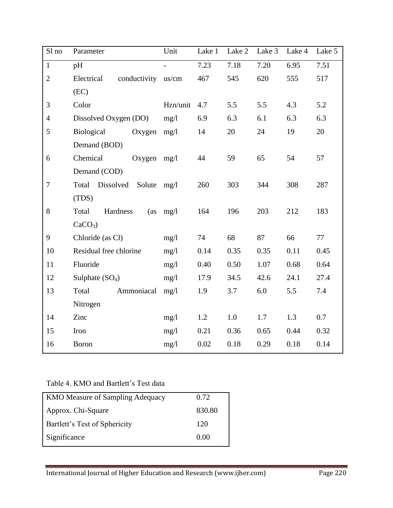| Sl no          | Parameter                         | Unit     | Lake 1 | Lake 2            | Lake 3 | Lake 4 | Lake 5 |
|----------------|-----------------------------------|----------|--------|-------------------|--------|--------|--------|
| $\mathbf 1$    | pH                                |          | 7.23   | $\overline{7.18}$ | 7.20   | 6.95   | 7.51   |
| $\overline{2}$ | Electrical<br>conductivity us/cm  |          | 467    | 545               | 620    | 555    | 517    |
|                | (EC)                              |          |        |                   |        |        |        |
| 3              | Color                             | Hzn/unit | 4.7    | 5.5               | 5.5    | 4.3    | 5.2    |
| $\overline{4}$ | Dissolved Oxygen (DO)             | mg/1     | 6.9    | 6.3               | 6.1    | 6.3    | 6.3    |
| 5              | Biological<br>Oxygen              | mg/l     | 14     | 20                | 24     | 19     | 20     |
|                | Demand (BOD)                      |          |        |                   |        |        |        |
| 6              | Chemical<br>Oxygen                | mg/l     | 44     | 59                | 65     | 54     | 57     |
|                | Demand (COD)                      |          |        |                   |        |        |        |
| $\tau$         | Dissolved<br>Total<br>Solute mg/l |          | 260    | 303               | 344    | 308    | 287    |
|                | (TDS)                             |          |        |                   |        |        |        |
| 8              | Hardness<br>Total<br>(as          | mg/1     | 164    | 196               | 203    | 212    | 183    |
|                | $CaCO3$ )                         |          |        |                   |        |        |        |
| 9              | Chloride (as Cl)                  | mg/1     | 74     | 68                | 87     | 66     | 77     |
| 10             | Residual free chlorine            | mg/1     | 0.14   | 0.35              | 0.35   | 0.11   | 0.45   |
| 11             | Fluoride                          | mg/1     | 0.40   | 0.50              | 1.07   | 0.68   | 0.64   |
| 12             | Sulphate $(SO4)$                  | mg/1     | 17.9   | 34.5              | 42.6   | 24.1   | 27.4   |
| 13             | Ammoniacal<br>Total               | mg/1     | 1.9    | 3.7               | 6.0    | 5.5    | 7.4    |
|                | Nitrogen                          |          |        |                   |        |        |        |
| 14             | Zinc                              | mg/1     | 1.2    | $1.0\,$           | 1.7    | 1.3    | 0.7    |
| 15             | Iron                              | mg/1     | 0.21   | 0.36              | 0.65   | 0.44   | 0.32   |
| 16             | Boron                             | mg/1     | 0.02   | 0.18              | 0.29   | 0.18   | 0.14   |

## Table 4. KMO and Bartlett's Test data

| <b>KMO Measure of Sampling Adequacy</b> | 0.72   |
|-----------------------------------------|--------|
| Approx. Chi-Square                      | 830.80 |
| Bartlett's Test of Sphericity           | 120    |
| Significance                            | 0.00   |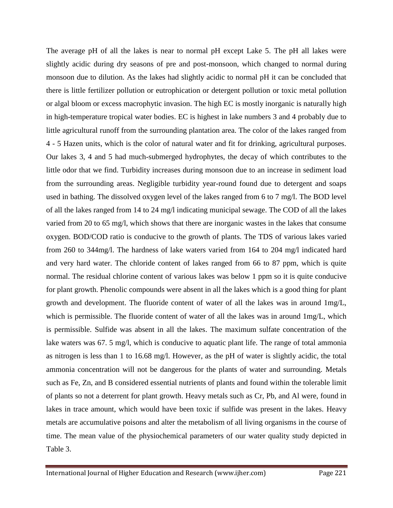The average pH of all the lakes is near to normal pH except Lake 5. The pH all lakes were slightly acidic during dry seasons of pre and post-monsoon, which changed to normal during monsoon due to dilution. As the lakes had slightly acidic to normal pH it can be concluded that there is little fertilizer pollution or eutrophication or detergent pollution or toxic metal pollution or algal bloom or excess macrophytic invasion. The high EC is mostly inorganic is naturally high in high-temperature tropical water bodies. EC is highest in lake numbers 3 and 4 probably due to little agricultural runoff from the surrounding plantation area. The color of the lakes ranged from 4 - 5 Hazen units, which is the color of natural water and fit for drinking, agricultural purposes. Our lakes 3, 4 and 5 had much-submerged hydrophytes, the decay of which contributes to the little odor that we find. Turbidity increases during monsoon due to an increase in sediment load from the surrounding areas. Negligible turbidity year-round found due to detergent and soaps used in bathing. The dissolved oxygen level of the lakes ranged from 6 to 7 mg/l. The BOD level of all the lakes ranged from 14 to 24 mg/l indicating municipal sewage. The COD of all the lakes varied from 20 to 65 mg/l, which shows that there are inorganic wastes in the lakes that consume oxygen. BOD/COD ratio is conducive to the growth of plants. The TDS of various lakes varied from 260 to 344mg/l. The hardness of lake waters varied from 164 to 204 mg/l indicated hard and very hard water. The chloride content of lakes ranged from 66 to 87 ppm, which is quite normal. The residual chlorine content of various lakes was below 1 ppm so it is quite conducive for plant growth. Phenolic compounds were absent in all the lakes which is a good thing for plant growth and development. The fluoride content of water of all the lakes was in around 1mg/L, which is permissible. The fluoride content of water of all the lakes was in around  $1mg/L$ , which is permissible. Sulfide was absent in all the lakes. The maximum sulfate concentration of the lake waters was 67. 5 mg/l, which is conducive to aquatic plant life. The range of total ammonia as nitrogen is less than 1 to 16.68 mg/l. However, as the pH of water is slightly acidic, the total ammonia concentration will not be dangerous for the plants of water and surrounding. Metals such as Fe, Zn, and B considered essential nutrients of plants and found within the tolerable limit of plants so not a deterrent for plant growth. Heavy metals such as Cr, Pb, and Al were, found in lakes in trace amount, which would have been toxic if sulfide was present in the lakes. Heavy metals are accumulative poisons and alter the metabolism of all living organisms in the course of time. The mean value of the physiochemical parameters of our water quality study depicted in Table 3.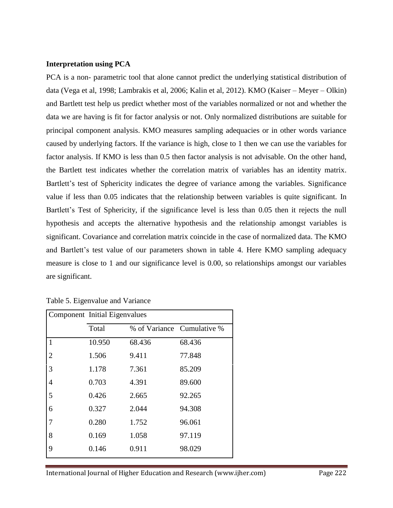#### **Interpretation using PCA**

PCA is a non- parametric tool that alone cannot predict the underlying statistical distribution of data (Vega et al, 1998; Lambrakis et al, 2006; Kalin et al, 2012). KMO (Kaiser – Meyer – Olkin) and Bartlett test help us predict whether most of the variables normalized or not and whether the data we are having is fit for factor analysis or not. Only normalized distributions are suitable for principal component analysis. KMO measures sampling adequacies or in other words variance caused by underlying factors. If the variance is high, close to 1 then we can use the variables for factor analysis. If KMO is less than 0.5 then factor analysis is not advisable. On the other hand, the Bartlett test indicates whether the correlation matrix of variables has an identity matrix. Bartlett's test of Sphericity indicates the degree of variance among the variables. Significance value if less than 0.05 indicates that the relationship between variables is quite significant. In Bartlett's Test of Sphericity, if the significance level is less than 0.05 then it rejects the null hypothesis and accepts the alternative hypothesis and the relationship amongst variables is significant. Covariance and correlation matrix coincide in the case of normalized data. The KMO and Bartlett's test value of our parameters shown in table 4. Here KMO sampling adequacy measure is close to 1 and our significance level is 0.00, so relationships amongst our variables are significant.

|                | Component Initial Eigenvalues |                            |        |  |
|----------------|-------------------------------|----------------------------|--------|--|
|                | Total                         | % of Variance Cumulative % |        |  |
| 1              | 10.950                        | 68.436                     | 68.436 |  |
| $\overline{2}$ | 1.506                         | 9.411                      | 77.848 |  |
| 3              | 1.178                         | 7.361                      | 85.209 |  |
| $\overline{4}$ | 0.703                         | 4.391                      | 89.600 |  |
| 5              | 0.426                         | 2.665                      | 92.265 |  |
| 6              | 0.327                         | 2.044                      | 94.308 |  |
| 7              | 0.280                         | 1.752                      | 96.061 |  |
| 8              | 0.169                         | 1.058                      | 97.119 |  |
| 9              | 0.146                         | 0.911                      | 98.029 |  |

Table 5. Eigenvalue and Variance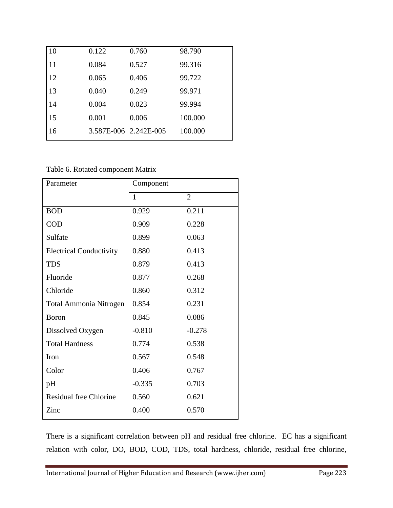| 10 | 0.122 | 0.760                 | 98.790  |
|----|-------|-----------------------|---------|
| 11 | 0.084 | 0.527                 | 99.316  |
| 12 | 0.065 | 0.406                 | 99.722  |
| 13 | 0.040 | 0.249                 | 99.971  |
| 14 | 0.004 | 0.023                 | 99.994  |
| 15 | 0.001 | 0.006                 | 100.000 |
| 16 |       | 3.587E-006 2.242E-005 | 100.000 |

Table 6. Rotated component Matrix

| Parameter                      | Component    |                |
|--------------------------------|--------------|----------------|
|                                | $\mathbf{1}$ | $\overline{2}$ |
| <b>BOD</b>                     | 0.929        | 0.211          |
| <b>COD</b>                     | 0.909        | 0.228          |
| Sulfate                        | 0.899        | 0.063          |
| <b>Electrical Conductivity</b> | 0.880        | 0.413          |
| <b>TDS</b>                     | 0.879        | 0.413          |
| Fluoride                       | 0.877        | 0.268          |
| Chloride                       | 0.860        | 0.312          |
| Total Ammonia Nitrogen         | 0.854        | 0.231          |
| <b>B</b> oron                  | 0.845        | 0.086          |
| Dissolved Oxygen               | $-0.810$     | $-0.278$       |
| <b>Total Hardness</b>          | 0.774        | 0.538          |
| Iron                           | 0.567        | 0.548          |
| Color                          | 0.406        | 0.767          |
| pH                             | $-0.335$     | 0.703          |
| <b>Residual free Chlorine</b>  | 0.560        | 0.621          |
| Zinc                           | 0.400        | 0.570          |

There is a significant correlation between pH and residual free chlorine. EC has a significant relation with color, DO, BOD, COD, TDS, total hardness, chloride, residual free chlorine,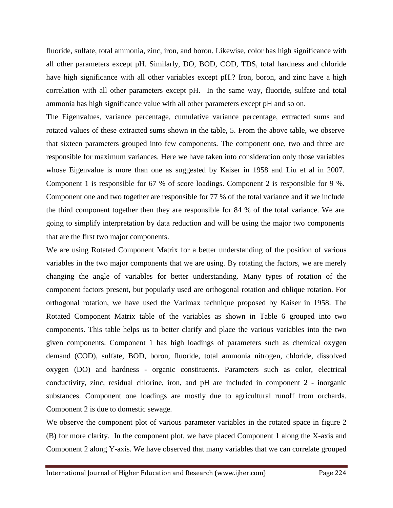fluoride, sulfate, total ammonia, zinc, iron, and boron. Likewise, color has high significance with all other parameters except pH. Similarly, DO, BOD, COD, TDS, total hardness and chloride have high significance with all other variables except pH.? Iron, boron, and zinc have a high correlation with all other parameters except pH. In the same way, fluoride, sulfate and total ammonia has high significance value with all other parameters except pH and so on.

The Eigenvalues, variance percentage, cumulative variance percentage, extracted sums and rotated values of these extracted sums shown in the table, 5. From the above table, we observe that sixteen parameters grouped into few components. The component one, two and three are responsible for maximum variances. Here we have taken into consideration only those variables whose Eigenvalue is more than one as suggested by Kaiser in 1958 and Liu et al in 2007. Component 1 is responsible for 67 % of score loadings. Component 2 is responsible for 9 %. Component one and two together are responsible for 77 % of the total variance and if we include the third component together then they are responsible for 84 % of the total variance. We are going to simplify interpretation by data reduction and will be using the major two components that are the first two major components.

We are using Rotated Component Matrix for a better understanding of the position of various variables in the two major components that we are using. By rotating the factors, we are merely changing the angle of variables for better understanding. Many types of rotation of the component factors present, but popularly used are orthogonal rotation and oblique rotation. For orthogonal rotation, we have used the Varimax technique proposed by Kaiser in 1958. The Rotated Component Matrix table of the variables as shown in Table 6 grouped into two components. This table helps us to better clarify and place the various variables into the two given components. Component 1 has high loadings of parameters such as chemical oxygen demand (COD), sulfate, BOD, boron, fluoride, total ammonia nitrogen, chloride, dissolved oxygen (DO) and hardness - organic constituents. Parameters such as color, electrical conductivity, zinc, residual chlorine, iron, and pH are included in component 2 - inorganic substances. Component one loadings are mostly due to agricultural runoff from orchards. Component 2 is due to domestic sewage.

We observe the component plot of various parameter variables in the rotated space in figure 2 (B) for more clarity. In the component plot, we have placed Component 1 along the X-axis and Component 2 along Y-axis. We have observed that many variables that we can correlate grouped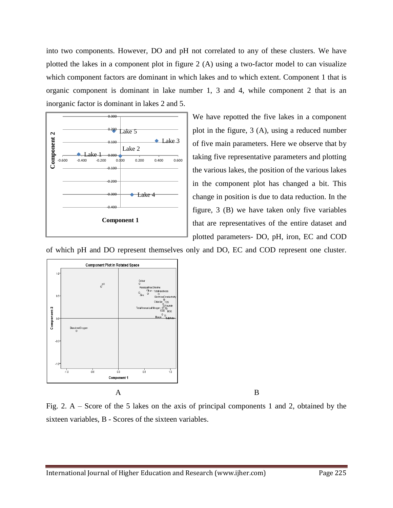into two components. However, DO and pH not correlated to any of these clusters. We have plotted the lakes in a component plot in figure 2 (A) using a two-factor model to can visualize which component factors are dominant in which lakes and to which extent. Component 1 that is organic component is dominant in lake number 1, 3 and 4, while component 2 that is an inorganic factor is dominant in lakes 2 and 5.



We have repotted the five lakes in a component plot in the figure, 3 (A), using a reduced number of five main parameters. Here we observe that by taking five representative parameters and plotting the various lakes, the position of the various lakes in the component plot has changed a bit. This change in position is due to data reduction. In the figure, 3 (B) we have taken only five variables that are representatives of the entire dataset and plotted parameters- DO, pH, iron, EC and COD

of which pH and DO represent themselves only and DO, EC and COD represent one cluster.



Fig. 2. A – Score of the 5 lakes on the axis of principal components 1 and 2, obtained by the sixteen variables, B - Scores of the sixteen variables.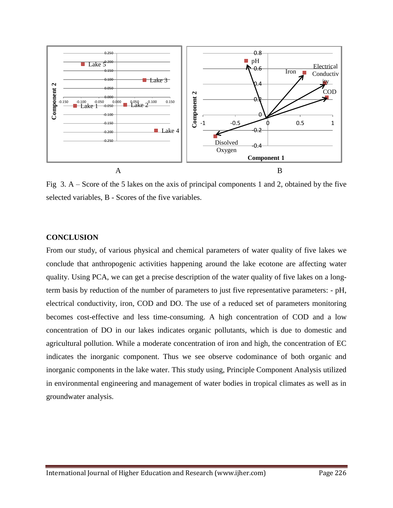

Fig 3. A – Score of the 5 lakes on the axis of principal components 1 and 2, obtained by the five selected variables, B - Scores of the five variables.

#### **CONCLUSION**

From our study, of various physical and chemical parameters of water quality of five lakes we conclude that anthropogenic activities happening around the lake ecotone are affecting water quality. Using PCA, we can get a precise description of the water quality of five lakes on a longterm basis by reduction of the number of parameters to just five representative parameters: - pH, electrical conductivity, iron, COD and DO. The use of a reduced set of parameters monitoring becomes cost-effective and less time-consuming. A high concentration of COD and a low concentration of DO in our lakes indicates organic pollutants, which is due to domestic and agricultural pollution. While a moderate concentration of iron and high, the concentration of EC indicates the inorganic component. Thus we see observe codominance of both organic and inorganic components in the lake water. This study using, Principle Component Analysis utilized in environmental engineering and management of water bodies in tropical climates as well as in groundwater analysis.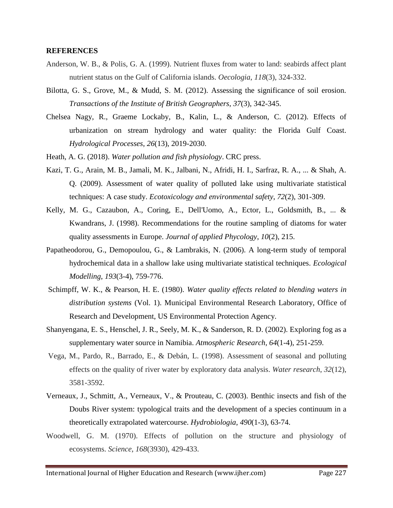#### **REFERENCES**

- Anderson, W. B., & Polis, G. A. (1999). Nutrient fluxes from water to land: seabirds affect plant nutrient status on the Gulf of California islands. *Oecologia*, *118*(3), 324-332.
- Bilotta, G. S., Grove, M., & Mudd, S. M. (2012). Assessing the significance of soil erosion. *Transactions of the Institute of British Geographers*, *37*(3), 342-345.
- Chelsea Nagy, R., Graeme Lockaby, B., Kalin, L., & Anderson, C. (2012). Effects of urbanization on stream hydrology and water quality: the Florida Gulf Coast. *Hydrological Processes*, *26*(13), 2019-2030.
- Heath, A. G. (2018). *Water pollution and fish physiology*. CRC press.
- Kazi, T. G., Arain, M. B., Jamali, M. K., Jalbani, N., Afridi, H. I., Sarfraz, R. A., ... & Shah, A. Q. (2009). Assessment of water quality of polluted lake using multivariate statistical techniques: A case study. *Ecotoxicology and environmental safety*, *72*(2), 301-309.
- Kelly, M. G., Cazaubon, A., Coring, E., Dell'Uomo, A., Ector, L., Goldsmith, B., ... & Kwandrans, J. (1998). Recommendations for the routine sampling of diatoms for water quality assessments in Europe. *Journal of applied Phycology*, *10*(2), 215.
- Papatheodorou, G., Demopoulou, G., & Lambrakis, N. (2006). A long-term study of temporal hydrochemical data in a shallow lake using multivariate statistical techniques. *Ecological Modelling*, *193*(3-4), 759-776.
- Schimpff, W. K., & Pearson, H. E. (1980). *Water quality effects related to blending waters in distribution systems* (Vol. 1). Municipal Environmental Research Laboratory, Office of Research and Development, US Environmental Protection Agency.
- Shanyengana, E. S., Henschel, J. R., Seely, M. K., & Sanderson, R. D. (2002). Exploring fog as a supplementary water source in Namibia. *Atmospheric Research*, *64*(1-4), 251-259.
- Vega, M., Pardo, R., Barrado, E., & Debán, L. (1998). Assessment of seasonal and polluting effects on the quality of river water by exploratory data analysis. *Water research*, *32*(12), 3581-3592.
- Verneaux, J., Schmitt, A., Verneaux, V., & Prouteau, C. (2003). Benthic insects and fish of the Doubs River system: typological traits and the development of a species continuum in a theoretically extrapolated watercourse. *Hydrobiologia*, *490*(1-3), 63-74.
- Woodwell, G. M. (1970). Effects of pollution on the structure and physiology of ecosystems. *Science*, *168*(3930), 429-433.